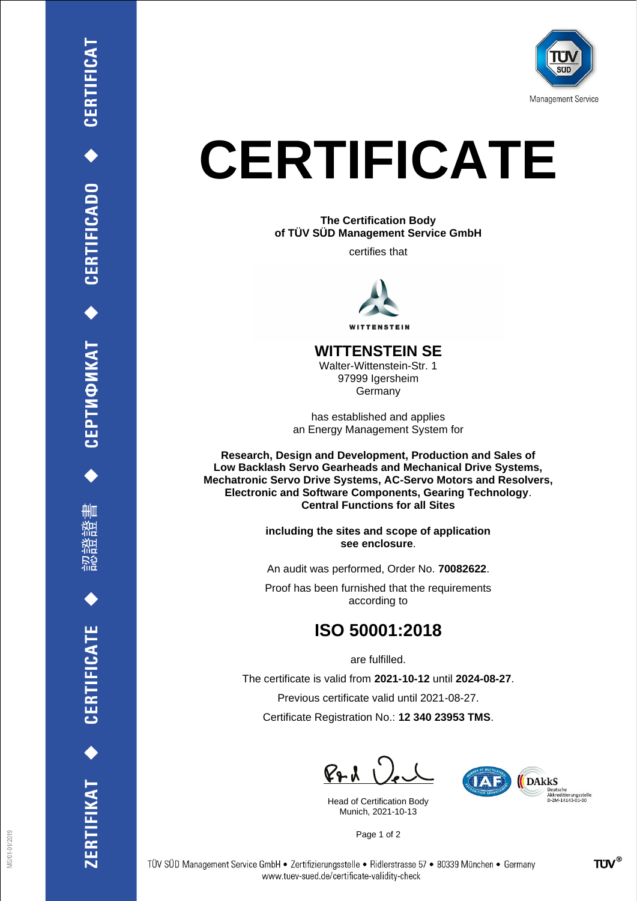

## **CERTIFICATE**

**The Certification Body of TÜV SÜD Management Service GmbH**

certifies that



## **WITTENSTEIN SE**

Walter-Wittenstein-Str. 1 97999 Igersheim Germany

has established and applies an Energy Management System for

**Research, Design and Development, Production and Sales of Low Backlash Servo Gearheads and Mechanical Drive Systems, Mechatronic Servo Drive Systems, AC-Servo Motors and Resolvers, Electronic and Software Components, Gearing Technology**. **Central Functions for all Sites**

> **including the sites and scope of application see enclosure**.

An audit was performed, Order No. **70082622**.

Proof has been furnished that the requirements according to

## **ISO 50001:2018**

are fulfilled.

The certificate is valid from **2021-10-12** until **2024-08-27**. Previous certificate valid until 2021-08-27. Certificate Registration No.: **12 340 23953 TMS**.

 $P + U$ 

Head of Certification Body Munich, 2021-10-13



Page 1 of 2

ERTIFIKAT<sup>+</sup>